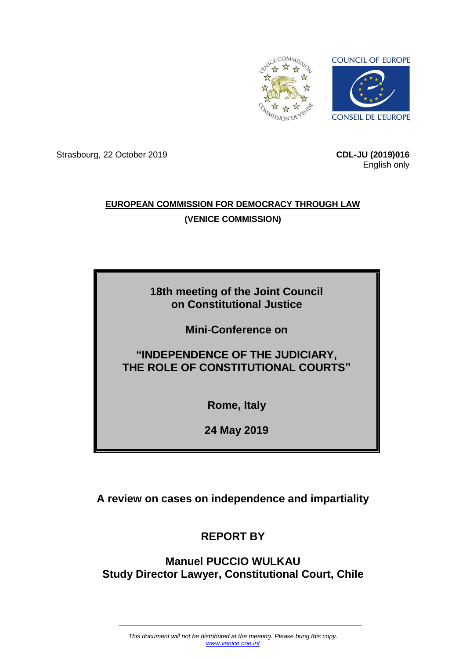

Strasbourg, 22 October 2019 **CDL-JU (2019)016**

English only

### **EUROPEAN COMMISSION FOR DEMOCRACY THROUGH LAW (VENICE COMMISSION)**

### **18th meeting of the Joint Council on Constitutional Justice**

**Mini-Conference on**

## **"INDEPENDENCE OF THE JUDICIARY, THE ROLE OF CONSTITUTIONAL COURTS"**

**Rome, Italy**

**24 May 2019**

**A review on cases on independence and impartiality**

# **REPORT BY**

### **Manuel PUCCIO WULKAU Study Director Lawyer, Constitutional Court, Chile**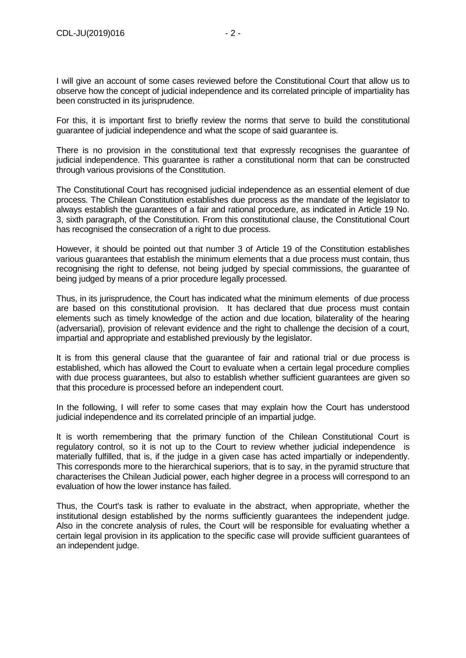I will give an account of some cases reviewed before the Constitutional Court that allow us to observe how the concept of judicial independence and its correlated principle of impartiality has been constructed in its jurisprudence.

For this, it is important first to briefly review the norms that serve to build the constitutional guarantee of judicial independence and what the scope of said guarantee is.

There is no provision in the constitutional text that expressly recognises the guarantee of judicial independence. This guarantee is rather a constitutional norm that can be constructed through various provisions of the Constitution.

The Constitutional Court has recognised judicial independence as an essential element of due process. The Chilean Constitution establishes due process as the mandate of the legislator to always establish the guarantees of a fair and rational procedure, as indicated in Article 19 No. 3, sixth paragraph, of the Constitution. From this constitutional clause, the Constitutional Court has recognised the consecration of a right to due process.

However, it should be pointed out that number 3 of Article 19 of the Constitution establishes various guarantees that establish the minimum elements that a due process must contain, thus recognising the right to defense, not being judged by special commissions, the guarantee of being judged by means of a prior procedure legally processed.

Thus, in its jurisprudence, the Court has indicated what the minimum elements of due process are based on this constitutional provision. It has declared that due process must contain elements such as timely knowledge of the action and due location, bilaterality of the hearing (adversarial), provision of relevant evidence and the right to challenge the decision of a court, impartial and appropriate and established previously by the legislator.

It is from this general clause that the guarantee of fair and rational trial or due process is established, which has allowed the Court to evaluate when a certain legal procedure complies with due process guarantees, but also to establish whether sufficient guarantees are given so that this procedure is processed before an independent court.

In the following, I will refer to some cases that may explain how the Court has understood judicial independence and its correlated principle of an impartial judge.

It is worth remembering that the primary function of the Chilean Constitutional Court is regulatory control, so it is not up to the Court to review whether judicial independence is materially fulfilled, that is, if the judge in a given case has acted impartially or independently. This corresponds more to the hierarchical superiors, that is to say, in the pyramid structure that characterises the Chilean Judicial power, each higher degree in a process will correspond to an evaluation of how the lower instance has failed.

Thus, the Court's task is rather to evaluate in the abstract, when appropriate, whether the institutional design established by the norms sufficiently guarantees the independent judge. Also in the concrete analysis of rules, the Court will be responsible for evaluating whether a certain legal provision in its application to the specific case will provide sufficient guarantees of an independent judge.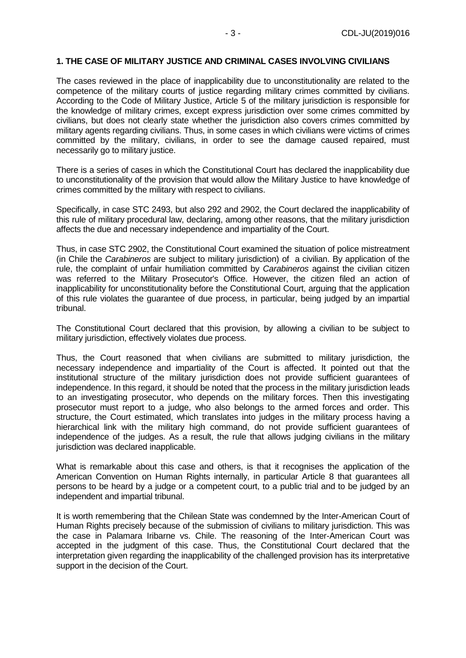#### **1. THE CASE OF MILITARY JUSTICE AND CRIMINAL CASES INVOLVING CIVILIANS**

The cases reviewed in the place of inapplicability due to unconstitutionality are related to the competence of the military courts of justice regarding military crimes committed by civilians. According to the Code of Military Justice, Article 5 of the military jurisdiction is responsible for the knowledge of military crimes, except express jurisdiction over some crimes committed by civilians, but does not clearly state whether the jurisdiction also covers crimes committed by military agents regarding civilians. Thus, in some cases in which civilians were victims of crimes committed by the military, civilians, in order to see the damage caused repaired, must necessarily go to military justice.

There is a series of cases in which the Constitutional Court has declared the inapplicability due to unconstitutionality of the provision that would allow the Military Justice to have knowledge of crimes committed by the military with respect to civilians.

Specifically, in case STC 2493, but also 292 and 2902, the Court declared the inapplicability of this rule of military procedural law, declaring, among other reasons, that the military jurisdiction affects the due and necessary independence and impartiality of the Court.

Thus, in case STC 2902, the Constitutional Court examined the situation of police mistreatment (in Chile the *Carabineros* are subject to military jurisdiction) of a civilian. By application of the rule, the complaint of unfair humiliation committed by *Carabineros* against the civilian citizen was referred to the Military Prosecutor's Office. However, the citizen filed an action of inapplicability for unconstitutionality before the Constitutional Court, arguing that the application of this rule violates the guarantee of due process, in particular, being judged by an impartial tribunal.

The Constitutional Court declared that this provision, by allowing a civilian to be subject to military jurisdiction, effectively violates due process.

Thus, the Court reasoned that when civilians are submitted to military jurisdiction, the necessary independence and impartiality of the Court is affected. It pointed out that the institutional structure of the military jurisdiction does not provide sufficient guarantees of independence. In this regard, it should be noted that the process in the military jurisdiction leads to an investigating prosecutor, who depends on the military forces. Then this investigating prosecutor must report to a judge, who also belongs to the armed forces and order. This structure, the Court estimated, which translates into judges in the military process having a hierarchical link with the military high command, do not provide sufficient guarantees of independence of the judges. As a result, the rule that allows judging civilians in the military jurisdiction was declared inapplicable.

What is remarkable about this case and others, is that it recognises the application of the American Convention on Human Rights internally, in particular Article 8 that guarantees all persons to be heard by a judge or a competent court, to a public trial and to be judged by an independent and impartial tribunal.

It is worth remembering that the Chilean State was condemned by the Inter-American Court of Human Rights precisely because of the submission of civilians to military jurisdiction. This was the case in Palamara Iribarne vs. Chile. The reasoning of the Inter-American Court was accepted in the judgment of this case. Thus, the Constitutional Court declared that the interpretation given regarding the inapplicability of the challenged provision has its interpretative support in the decision of the Court.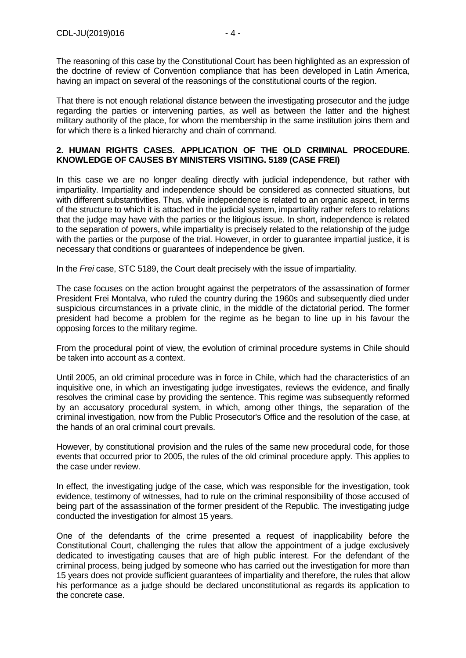The reasoning of this case by the Constitutional Court has been highlighted as an expression of the doctrine of review of Convention compliance that has been developed in Latin America, having an impact on several of the reasonings of the constitutional courts of the region.

That there is not enough relational distance between the investigating prosecutor and the judge regarding the parties or intervening parties, as well as between the latter and the highest military authority of the place, for whom the membership in the same institution joins them and for which there is a linked hierarchy and chain of command.

#### **2. HUMAN RIGHTS CASES. APPLICATION OF THE OLD CRIMINAL PROCEDURE. KNOWLEDGE OF CAUSES BY MINISTERS VISITING. 5189 (CASE FREI)**

In this case we are no longer dealing directly with judicial independence, but rather with impartiality. Impartiality and independence should be considered as connected situations, but with different substantivities. Thus, while independence is related to an organic aspect, in terms of the structure to which it is attached in the judicial system, impartiality rather refers to relations that the judge may have with the parties or the litigious issue. In short, independence is related to the separation of powers, while impartiality is precisely related to the relationship of the judge with the parties or the purpose of the trial. However, in order to quarantee impartial justice, it is necessary that conditions or guarantees of independence be given.

In the *Frei* case, STC 5189, the Court dealt precisely with the issue of impartiality.

The case focuses on the action brought against the perpetrators of the assassination of former President Frei Montalva, who ruled the country during the 1960s and subsequently died under suspicious circumstances in a private clinic, in the middle of the dictatorial period. The former president had become a problem for the regime as he began to line up in his favour the opposing forces to the military regime.

From the procedural point of view, the evolution of criminal procedure systems in Chile should be taken into account as a context.

Until 2005, an old criminal procedure was in force in Chile, which had the characteristics of an inquisitive one, in which an investigating judge investigates, reviews the evidence, and finally resolves the criminal case by providing the sentence. This regime was subsequently reformed by an accusatory procedural system, in which, among other things, the separation of the criminal investigation, now from the Public Prosecutor's Office and the resolution of the case, at the hands of an oral criminal court prevails.

However, by constitutional provision and the rules of the same new procedural code, for those events that occurred prior to 2005, the rules of the old criminal procedure apply. This applies to the case under review.

In effect, the investigating judge of the case, which was responsible for the investigation, took evidence, testimony of witnesses, had to rule on the criminal responsibility of those accused of being part of the assassination of the former president of the Republic. The investigating judge conducted the investigation for almost 15 years.

One of the defendants of the crime presented a request of inapplicability before the Constitutional Court, challenging the rules that allow the appointment of a judge exclusively dedicated to investigating causes that are of high public interest. For the defendant of the criminal process, being judged by someone who has carried out the investigation for more than 15 years does not provide sufficient guarantees of impartiality and therefore, the rules that allow his performance as a judge should be declared unconstitutional as regards its application to the concrete case.